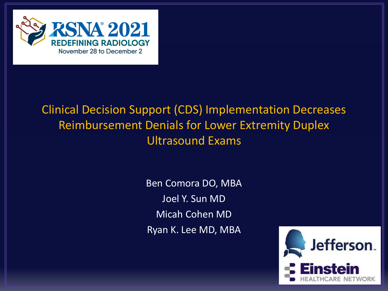

## Clinical Decision Support (CDS) Implementation Decreases Reimbursement Denials for Lower Extremity Duplex Ultrasound Exams

Ben Comora DO, MBA Joel Y. Sun MD Micah Cohen MD Ryan K. Lee MD, MBA

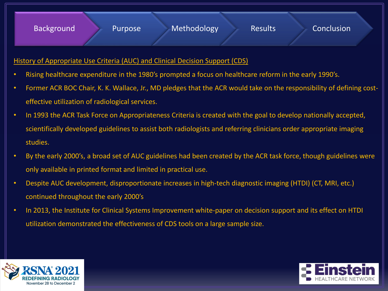## History of Appropriate Use Criteria (AUC) and Clinical Decision Support (CDS)

- Rising healthcare expenditure in the 1980's prompted a focus on healthcare reform in the early 1990's.
- Former ACR BOC Chair, K. K. Wallace, Jr., MD pledges that the ACR would take on the responsibility of defining costeffective utilization of radiological services.
- In 1993 the ACR Task Force on Appropriateness Criteria is created with the goal to develop nationally accepted, scientifically developed guidelines to assist both radiologists and referring clinicians order appropriate imaging studies.
- By the early 2000's, a broad set of AUC guidelines had been created by the ACR task force, though guidelines were only available in printed format and limited in practical use.
- Despite AUC development, disproportionate increases in high-tech diagnostic imaging (HTDI) (CT, MRI, etc.) continued throughout the early 2000's
- In 2013, the Institute for Clinical Systems Improvement white-paper on decision support and its effect on HTDI utilization demonstrated the effectiveness of CDS tools on a large sample size.



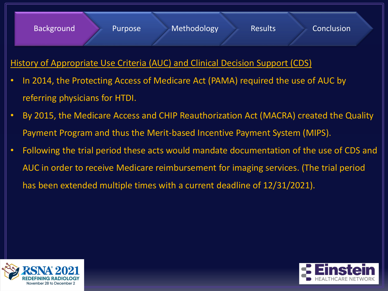## History of Appropriate Use Criteria (AUC) and Clinical Decision Support (CDS)

- In 2014, the Protecting Access of Medicare Act (PAMA) required the use of AUC by referring physicians for HTDI.
- By 2015, the Medicare Access and CHIP Reauthorization Act (MACRA) created the Quality Payment Program and thus the Merit-based Incentive Payment System (MIPS).
- Following the trial period these acts would mandate documentation of the use of CDS and AUC in order to receive Medicare reimbursement for imaging services. (The trial period has been extended multiple times with a current deadline of 12/31/2021).



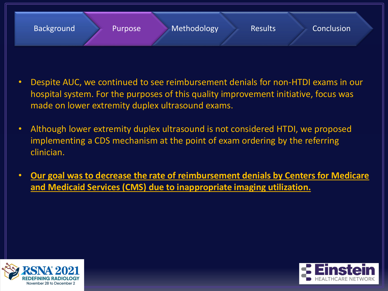

- Despite AUC, we continued to see reimbursement denials for non-HTDI exams in our hospital system. For the purposes of this quality improvement initiative, focus was made on lower extremity duplex ultrasound exams.
- Although lower extremity duplex ultrasound is not considered HTDI, we proposed implementing a CDS mechanism at the point of exam ordering by the referring clinician.
- **Our goal was to decrease the rate of reimbursement denials by Centers for Medicare and Medicaid Services (CMS) due to inappropriate imaging utilization.**



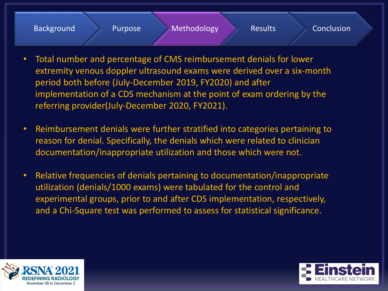

- Total number and percentage of CMS reimbursement denials for lower extremity venous doppler ultrasound exams were derived over a six-month period both before (July-December 2019, FY2020) and after implementation of a CDS mechanism at the point of exam ordering by the referring provider(July-December 2020, FY2021).
- Reimbursement denials were further stratified into categories pertaining to reason for denial. Specifically, the denials which were related to clinician documentation/inappropriate utilization and those which were not.
- Relative frequencies of denials pertaining to documentation/inappropriate utilization (denials/1000 exams) were tabulated for the control and experimental groups, prior to and after CDS implementation, respectively, and a Chi-Square test was performed to assess for statistical significance.



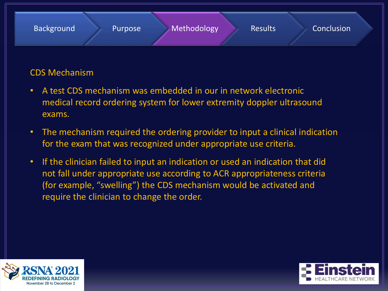

## CDS Mechanism

- A test CDS mechanism was embedded in our in network electronic medical record ordering system for lower extremity doppler ultrasound exams.
- The mechanism required the ordering provider to input a clinical indication for the exam that was recognized under appropriate use criteria.
- If the clinician failed to input an indication or used an indication that did not fall under appropriate use according to ACR appropriateness criteria (for example, "swelling") the CDS mechanism would be activated and require the clinician to change the order.



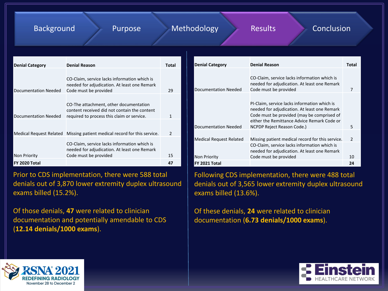### Background Purpose Methodology Results Conclusion

| <b>Denial Category</b>  | <b>Denial Reason</b>                                                                                                                 | Total         |
|-------------------------|--------------------------------------------------------------------------------------------------------------------------------------|---------------|
| Documentation Needed    | CO-Claim, service lacks information which is<br>needed for adjudication. At least one Remark<br>Code must be provided                | 29            |
| Documentation Needed    | CO-The attachment, other documentation<br>content received did not contain the content<br>required to process this claim or service. |               |
| Medical Request Related | Missing patient medical record for this service.                                                                                     | $\mathcal{P}$ |
| Non Priority            | CO-Claim, service lacks information which is<br>needed for adjudication. At least one Remark<br>Code must be provided                | 15            |
| FY 2020 Total           |                                                                                                                                      | 47            |

Prior to CDS implementation, there were 588 total denials out of 3,870 lower extremity duplex ultrasound exams billed (15.2%).

Of those denials, **47** were related to clinician documentation and potentially amendable to CDS (**12.14 denials/1000 exams**).

| <b>Denial Category</b>         | <b>Denial Reason</b>                                                                                                                                                                                                    | Total         |
|--------------------------------|-------------------------------------------------------------------------------------------------------------------------------------------------------------------------------------------------------------------------|---------------|
| Documentation Needed           | CO-Claim, service lacks information which is<br>needed for adjudication. At least one Remark<br>Code must be provided                                                                                                   | 7             |
| Documentation Needed           | PI-Claim, service lacks information which is<br>needed for adjudication. At least one Remark<br>Code must be provided (may be comprised of<br>either the Remittance Advice Remark Code or<br>NCPDP Reject Reason Code.) | 5             |
| <b>Medical Request Related</b> | Missing patient medical record for this service.                                                                                                                                                                        | $\mathcal{P}$ |
| <b>Non Priority</b>            | CO-Claim, service lacks information which is<br>needed for adjudication. At least one Remark<br>Code must be provided                                                                                                   | 10            |
| FY 2021 Total                  |                                                                                                                                                                                                                         | 24            |

Following CDS implementation, there were 488 total denials out of 3,565 lower extremity duplex ultrasound exams billed (13.6%).

Of these denials, **24** were related to clinician documentation (**6.73 denials/1000 exams**).



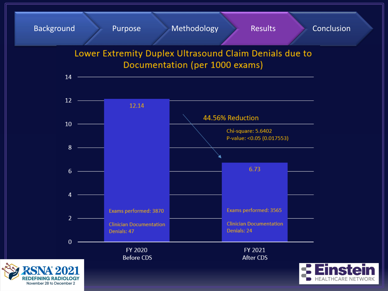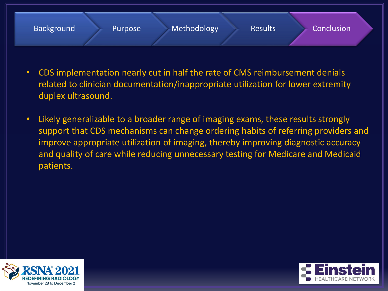

- CDS implementation nearly cut in half the rate of CMS reimbursement denials related to clinician documentation/inappropriate utilization for lower extremity duplex ultrasound.
- Likely generalizable to a broader range of imaging exams, these results strongly support that CDS mechanisms can change ordering habits of referring providers and improve appropriate utilization of imaging, thereby improving diagnostic accuracy and quality of care while reducing unnecessary testing for Medicare and Medicaid patients.